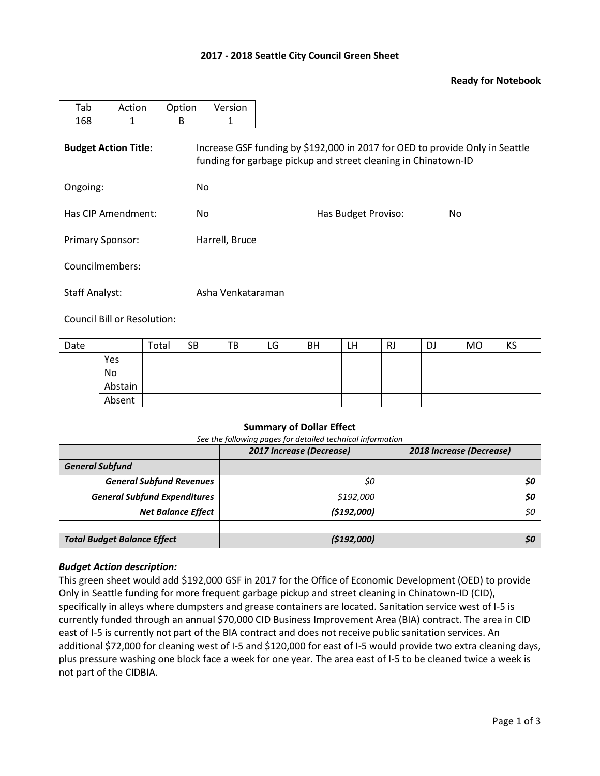## **2017 - 2018 Seattle City Council Green Sheet**

### **Ready for Notebook**

| Tab                         | Action | Option | Version                                                                                                                                        |                     |     |  |  |  |  |  |
|-----------------------------|--------|--------|------------------------------------------------------------------------------------------------------------------------------------------------|---------------------|-----|--|--|--|--|--|
| 168                         | 1      | B      | 1                                                                                                                                              |                     |     |  |  |  |  |  |
| <b>Budget Action Title:</b> |        |        | Increase GSF funding by \$192,000 in 2017 for OED to provide Only in Seattle<br>funding for garbage pickup and street cleaning in Chinatown-ID |                     |     |  |  |  |  |  |
| Ongoing:                    |        |        | No.                                                                                                                                            |                     |     |  |  |  |  |  |
| Has CIP Amendment:          |        | No.    |                                                                                                                                                | Has Budget Proviso: | No. |  |  |  |  |  |
| <b>Primary Sponsor:</b>     |        |        | Harrell, Bruce                                                                                                                                 |                     |     |  |  |  |  |  |
| Councilmembers:             |        |        |                                                                                                                                                |                     |     |  |  |  |  |  |
| <b>Staff Analyst:</b>       |        |        | Asha Venkataraman                                                                                                                              |                     |     |  |  |  |  |  |

Council Bill or Resolution:

| Date |         | Total | <b>SB</b> | TB | LG | <b>BH</b> | LH | RJ | DJ | <b>MO</b> | KS |
|------|---------|-------|-----------|----|----|-----------|----|----|----|-----------|----|
|      | Yes     |       |           |    |    |           |    |    |    |           |    |
|      | No      |       |           |    |    |           |    |    |    |           |    |
|      | Abstain |       |           |    |    |           |    |    |    |           |    |
|      | Absent  |       |           |    |    |           |    |    |    |           |    |

### **Summary of Dollar Effect**

*See the following pages for detailed technical information*

|                                     | 2017 Increase (Decrease) | 2018 Increase (Decrease) |
|-------------------------------------|--------------------------|--------------------------|
| <b>General Subfund</b>              |                          |                          |
| <b>General Subfund Revenues</b>     | \$0                      |                          |
| <b>General Subfund Expenditures</b> | \$192,000                |                          |
| <b>Net Balance Effect</b>           | (5192,000)               | \$0                      |
|                                     |                          |                          |
| <b>Total Budget Balance Effect</b>  | (5192,000)               |                          |

### *Budget Action description:*

This green sheet would add \$192,000 GSF in 2017 for the Office of Economic Development (OED) to provide Only in Seattle funding for more frequent garbage pickup and street cleaning in Chinatown-ID (CID), specifically in alleys where dumpsters and grease containers are located. Sanitation service west of I-5 is currently funded through an annual \$70,000 CID Business Improvement Area (BIA) contract. The area in CID east of I-5 is currently not part of the BIA contract and does not receive public sanitation services. An additional \$72,000 for cleaning west of I-5 and \$120,000 for east of I-5 would provide two extra cleaning days, plus pressure washing one block face a week for one year. The area east of I-5 to be cleaned twice a week is not part of the CIDBIA.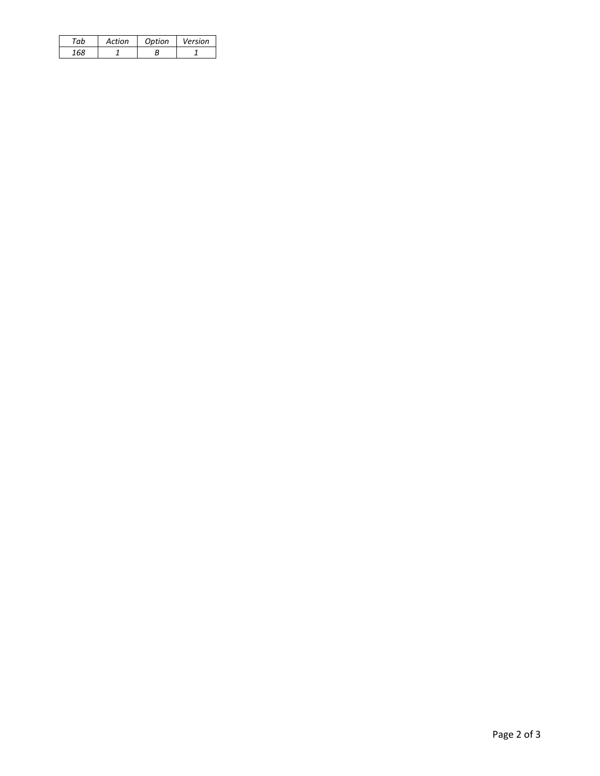| 'nh | Action | Option | Version |
|-----|--------|--------|---------|
| 160 |        |        |         |